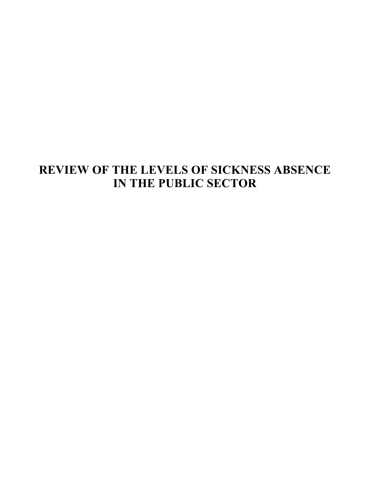# **REVIEW OF THE LEVELS OF SICKNESS ABSENCE IN THE PUBLIC SECTOR**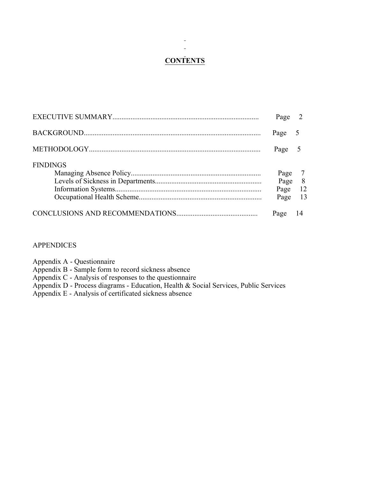# **CONTENTS**

 $\overline{\phantom{0}}$  $\frac{1}{2}$ 

|                 | Page | 2              |
|-----------------|------|----------------|
|                 | Page |                |
|                 | Page |                |
| <b>FINDINGS</b> |      |                |
|                 | Page | $\overline{7}$ |
|                 | Page | 8              |
|                 | Page | -12            |
|                 | Page | -13            |
|                 | Page | 14             |

#### **APPENDICES**

Appendix A - Questionnaire

Appendix B - Sample form to record sickness absence

Appendix C - Analysis of responses to the questionnaire

Appendix D - Process diagrams - Education, Health & Social Services, Public Services

Appendix E - Analysis of certificated sickness absence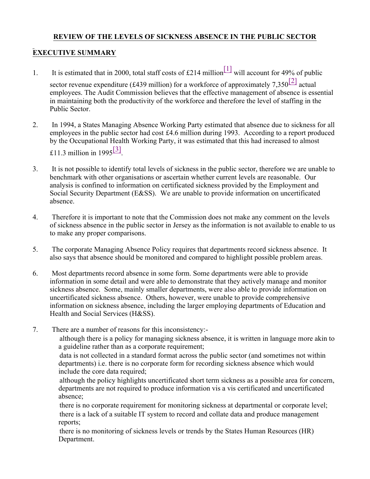# **REVIEW OF THE LEVELS OF SICKNESS ABSENCE IN THE PUBLIC SECTOR**

# **EXECUTIVE SUMMARY**

1. It is estimated that in 2000, total staff costs of £214 million<sup>[1]</sup> will account for 49% of public

sector revenue expenditure (£439 million) for a workforce of approximately 7,350<sup>[2]</sup> actual employees. The Audit Commission believes that the effective management of absence is essential in maintaining both the productivity of the workforce and therefore the level of staffing in the Public Sector.

- 2. In 1994, a States Managing Absence Working Party estimated that absence due to sickness for all employees in the public sector had cost £4.6 million during 1993. According to a report produced by the Occupational Health Working Party, it was estimated that this had increased to almost £11.3 million in 1995 $\frac{3}{3}$ .
- 3. It is not possible to identify total levels of sickness in the public sector, therefore we are unable to benchmark with other organisations or ascertain whether current levels are reasonable. Our analysis is confined to information on certificated sickness provided by the Employment and Social Security Department (E&SS). We are unable to provide information on uncertificated absence.
- 4. Therefore it is important to note that the Commission does not make any comment on the levels of sickness absence in the public sector in Jersey as the information is not available to enable to us to make any proper comparisons.
- 5. The corporate Managing Absence Policy requires that departments record sickness absence. It also says that absence should be monitored and compared to highlight possible problem areas.
- 6. Most departments record absence in some form. Some departments were able to provide information in some detail and were able to demonstrate that they actively manage and monitor sickness absence. Some, mainly smaller departments, were also able to provide information on uncertificated sickness absence. Others, however, were unable to provide comprehensive information on sickness absence, including the larger employing departments of Education and Health and Social Services (H&SS).
- 7. There are a number of reasons for this inconsistency:-

 although there is a policy for managing sickness absence, it is written in language more akin to a guideline rather than as a corporate requirement;

 data is not collected in a standard format across the public sector (and sometimes not within departments) i.e. there is no corporate form for recording sickness absence which would include the core data required;

 although the policy highlights uncertificated short term sickness as a possible area for concern, departments are not required to produce information vis a vis certificated and uncertificated absence;

 there is no corporate requirement for monitoring sickness at departmental or corporate level; there is a lack of a suitable IT system to record and collate data and produce management reports;

 there is no monitoring of sickness levels or trends by the States Human Resources (HR) Department.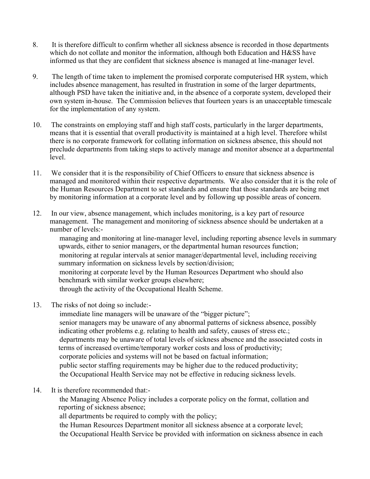- 8. It is therefore difficult to confirm whether all sickness absence is recorded in those departments which do not collate and monitor the information, although both Education and H&SS have informed us that they are confident that sickness absence is managed at line-manager level.
- 9. The length of time taken to implement the promised corporate computerised HR system, which includes absence management, has resulted in frustration in some of the larger departments, although PSD have taken the initiative and, in the absence of a corporate system, developed their own system in-house. The Commission believes that fourteen years is an unacceptable timescale for the implementation of any system.
- 10. The constraints on employing staff and high staff costs, particularly in the larger departments, means that it is essential that overall productivity is maintained at a high level. Therefore whilst there is no corporate framework for collating information on sickness absence, this should not preclude departments from taking steps to actively manage and monitor absence at a departmental level.
- 11. We consider that it is the responsibility of Chief Officers to ensure that sickness absence is managed and monitored within their respective departments. We also consider that it is the role of the Human Resources Department to set standards and ensure that those standards are being met by monitoring information at a corporate level and by following up possible areas of concern.
- 12. In our view, absence management, which includes monitoring, is a key part of resource management. The management and monitoring of sickness absence should be undertaken at a number of levels:-

 managing and monitoring at line-manager level, including reporting absence levels in summary upwards, either to senior managers, or the departmental human resources function; monitoring at regular intervals at senior manager/departmental level, including receiving summary information on sickness levels by section/division; monitoring at corporate level by the Human Resources Department who should also benchmark with similar worker groups elsewhere; through the activity of the Occupational Health Scheme.

13. The risks of not doing so include:-

immediate line managers will be unaware of the "bigger picture"; senior managers may be unaware of any abnormal patterns of sickness absence, possibly indicating other problems e.g. relating to health and safety, causes of stress etc.; departments may be unaware of total levels of sickness absence and the associated costs in terms of increased overtime/temporary worker costs and loss of productivity; corporate policies and systems will not be based on factual information; public sector staffing requirements may be higher due to the reduced productivity; the Occupational Health Service may not be effective in reducing sickness levels.

14. It is therefore recommended that:-

 the Managing Absence Policy includes a corporate policy on the format, collation and reporting of sickness absence;

all departments be required to comply with the policy;

 the Human Resources Department monitor all sickness absence at a corporate level; the Occupational Health Service be provided with information on sickness absence in each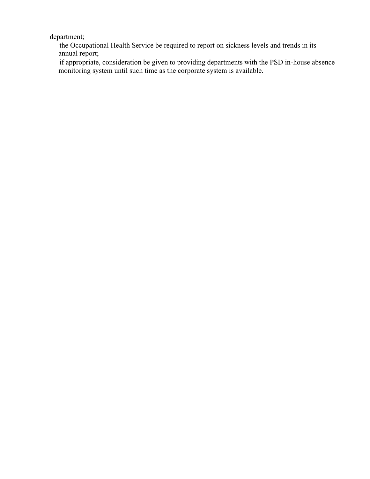department;

 the Occupational Health Service be required to report on sickness levels and trends in its annual report;

 if appropriate, consideration be given to providing departments with the PSD in-house absence monitoring system until such time as the corporate system is available.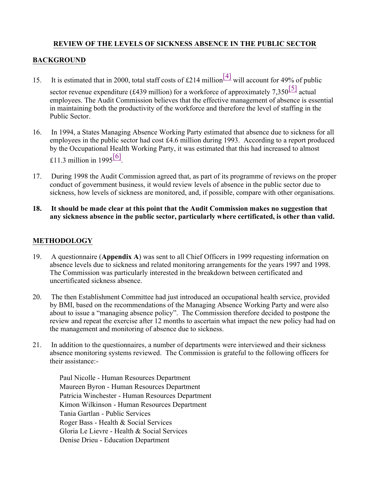# **REVIEW OF THE LEVELS OF SICKNESS ABSENCE IN THE PUBLIC SECTOR**

#### **BACKGROUND**

15. It is estimated that in 2000, total staff costs of £214 million<sup>[4]</sup> will account for 49% of public

sector revenue expenditure (£439 million) for a workforce of approximately 7,350<sup>[5]</sup> actual employees. The Audit Commission believes that the effective management of absence is essential in maintaining both the productivity of the workforce and therefore the level of staffing in the Public Sector.

- 16. In 1994, a States Managing Absence Working Party estimated that absence due to sickness for all employees in the public sector had cost £4.6 million during 1993. According to a report produced by the Occupational Health Working Party, it was estimated that this had increased to almost £11.3 million in 1995 $\frac{[6]}{[6]}$ .
- 17. During 1998 the Audit Commission agreed that, as part of its programme of reviews on the proper conduct of government business, it would review levels of absence in the public sector due to sickness, how levels of sickness are monitored, and, if possible, compare with other organisations.
- **18. It should be made clear at this point that the Audit Commission makes no suggestion that any sickness absence in the public sector, particularly where certificated, is other than valid.**

#### **METHODOLOGY**

- 19. A questionnaire (**Appendix A**) was sent to all Chief Officers in 1999 requesting information on absence levels due to sickness and related monitoring arrangements for the years 1997 and 1998. The Commission was particularly interested in the breakdown between certificated and uncertificated sickness absence.
- 20. The then Establishment Committee had just introduced an occupational health service, provided by BMI, based on the recommendations of the Managing Absence Working Party and were also about to issue a "managing absence policy". The Commission therefore decided to postpone the review and repeat the exercise after 12 months to ascertain what impact the new policy had had on the management and monitoring of absence due to sickness.
- 21. In addition to the questionnaires, a number of departments were interviewed and their sickness absence monitoring systems reviewed. The Commission is grateful to the following officers for their assistance:-

 Paul Nicolle - Human Resources Department Maureen Byron - Human Resources Department Patricia Winchester - Human Resources Department Kimon Wilkinson - Human Resources Department Tania Gartlan - Public Services Roger Bass - Health & Social Services Gloria Le Lievre - Health & Social Services Denise Drieu - Education Department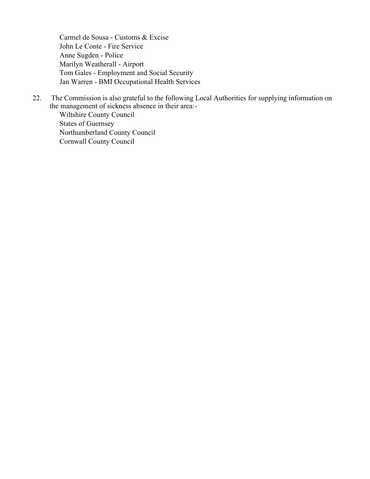Carmel de Sousa - Customs & Excise John Le Conte - Fire Service Anne Sugden - Police Marilyn Weatherall - Airport Tom Gales - Employment and Social Security Jan Warren - BMI Occupational Health Services

22. The Commission is also grateful to the following Local Authorities for supplying information on the management of sickness absence in their area:-

 Wiltshire County Council States of Guernsey Northumberland County Council Cornwall County Council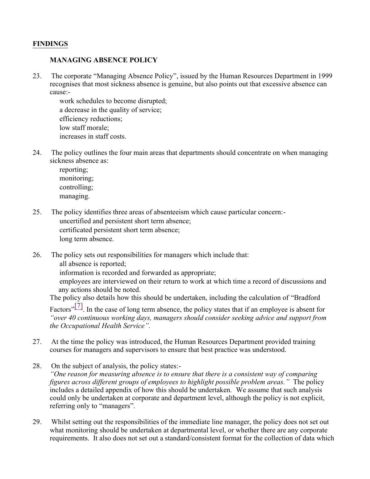## **FINDINGS**

## **MANAGING ABSENCE POLICY**

23. The corporate "Managing Absence Policy", issued by the Human Resources Department in 1999 recognises that most sickness absence is genuine, but also points out that excessive absence can cause:-

 work schedules to become disrupted; a decrease in the quality of service; efficiency reductions; low staff morale; increases in staff costs.

24. The policy outlines the four main areas that departments should concentrate on when managing sickness absence as:

 reporting; monitoring; controlling; managing.

- 25. The policy identifies three areas of absenteeism which cause particular concern:- uncertified and persistent short term absence; certificated persistent short term absence; long term absence.
- 26. The policy sets out responsibilities for managers which include that:

all absence is reported;

information is recorded and forwarded as appropriate;

 employees are interviewed on their return to work at which time a record of discussions and any actions should be noted.

The policy also details how this should be undertaken, including the calculation of "Bradford

Factors"<sup>[7]</sup>. In the case of long term absence, the policy states that if an employee is absent for *"over 40 continuous working days, managers should consider seeking advice and support from the Occupational Health Service".*

- 27. At the time the policy was introduced, the Human Resources Department provided training courses for managers and supervisors to ensure that best practice was understood.
- 28. On the subject of analysis, the policy states:-*"One reason for measuring absence is to ensure that there is a consistent way of comparing figures across different groups of employees to highlight possible problem areas."* The policy includes a detailed appendix of how this should be undertaken*.* We assume that such analysis could only be undertaken at corporate and department level, although the policy is not explicit, referring only to "managers".
- 29. Whilst setting out the responsibilities of the immediate line manager, the policy does not set out what monitoring should be undertaken at departmental level, or whether there are any corporate requirements. It also does not set out a standard/consistent format for the collection of data which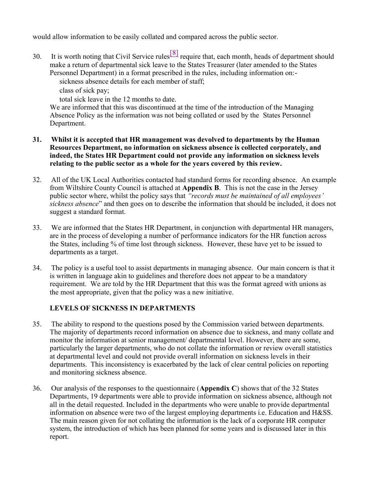would allow information to be easily collated and compared across the public sector.

30. It is worth noting that Civil Service rules  $\frac{8}{8}$  require that, each month, heads of department should make a return of departmental sick leave to the States Treasurer (later amended to the States Personnel Department) in a format prescribed in the rules, including information on:-

sickness absence details for each member of staff;

class of sick pay;

total sick leave in the 12 months to date.

We are informed that this was discontinued at the time of the introduction of the Managing Absence Policy as the information was not being collated or used by the States Personnel Department.

#### **31. Whilst it is accepted that HR management was devolved to departments by the Human Resources Department, no information on sickness absence is collected corporately, and indeed, the States HR Department could not provide any information on sickness levels relating to the public sector as a whole for the years covered by this review.**

- 32. All of the UK Local Authorities contacted had standard forms for recording absence. An example from Wiltshire County Council is attached at **Appendix B**. This is not the case in the Jersey public sector where, whilst the policy says that *"records must be maintained of all employees' sickness absence*" and then goes on to describe the information that should be included, it does not suggest a standard format.
- 33. We are informed that the States HR Department, in conjunction with departmental HR managers, are in the process of developing a number of performance indicators for the HR function across the States, including % of time lost through sickness. However, these have yet to be issued to departments as a target.
- 34. The policy is a useful tool to assist departments in managing absence. Our main concern is that it is written in language akin to guidelines and therefore does not appear to be a mandatory requirement. We are told by the HR Department that this was the format agreed with unions as the most appropriate, given that the policy was a new initiative.

# **LEVELS OF SICKNESS IN DEPARTMENTS**

- 35. The ability to respond to the questions posed by the Commission varied between departments. The majority of departments record information on absence due to sickness, and many collate and monitor the information at senior management/ departmental level. However, there are some, particularly the larger departments, who do not collate the information or review overall statistics at departmental level and could not provide overall information on sickness levels in their departments. This inconsistency is exacerbated by the lack of clear central policies on reporting and monitoring sickness absence.
- 36. Our analysis of the responses to the questionnaire (**Appendix C**) shows that of the 32 States Departments, 19 departments were able to provide information on sickness absence, although not all in the detail requested. Included in the departments who were unable to provide departmental information on absence were two of the largest employing departments i.e. Education and H&SS. The main reason given for not collating the information is the lack of a corporate HR computer system, the introduction of which has been planned for some years and is discussed later in this report.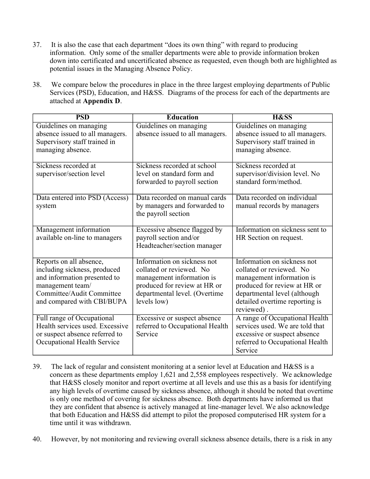- 37. It is also the case that each department "does its own thing" with regard to producing information. Only some of the smaller departments were able to provide information broken down into certificated and uncertificated absence as requested, even though both are highlighted as potential issues in the Managing Absence Policy.
- 38. We compare below the procedures in place in the three largest employing departments of Public Services (PSD), Education, and H&SS. Diagrams of the process for each of the departments are attached at **Appendix D**.

| <b>PSD</b>                      | <b>Education</b>                | <b>H&amp;SS</b>                 |
|---------------------------------|---------------------------------|---------------------------------|
| Guidelines on managing          | Guidelines on managing          | Guidelines on managing          |
| absence issued to all managers. | absence issued to all managers. | absence issued to all managers. |
| Supervisory staff trained in    |                                 | Supervisory staff trained in    |
| managing absence.               |                                 | managing absence.               |
| Sickness recorded at            | Sickness recorded at school     | Sickness recorded at            |
| supervisor/section level        | level on standard form and      | supervisor/division level. No   |
|                                 | forwarded to payroll section    | standard form/method.           |
| Data entered into PSD (Access)  | Data recorded on manual cards   | Data recorded on individual     |
| system                          | by managers and forwarded to    | manual records by managers      |
|                                 | the payroll section             |                                 |
|                                 |                                 |                                 |
| Management information          | Excessive absence flagged by    | Information on sickness sent to |
| available on-line to managers   | payroll section and/or          | HR Section on request.          |
|                                 | Headteacher/section manager     |                                 |
| Reports on all absence,         | Information on sickness not     | Information on sickness not     |
| including sickness, produced    | collated or reviewed. No        | collated or reviewed. No        |
| and information presented to    | management information is       | management information is       |
| management team/                | produced for review at HR or    | produced for review at HR or    |
| Committee/Audit Committee       | departmental level. (Overtime   | departmental level (although    |
| and compared with CBI/BUPA      | levels low)                     | detailed overtime reporting is  |
|                                 |                                 | reviewed).                      |
| Full range of Occupational      | Excessive or suspect absence    | A range of Occupational Health  |
| Health services used. Excessive | referred to Occupational Health | services used. We are told that |
| or suspect absence referred to  | Service                         | excessive or suspect absence    |
| Occupational Health Service     |                                 | referred to Occupational Health |
|                                 |                                 | Service                         |

- 39. The lack of regular and consistent monitoring at a senior level at Education and H&SS is a concern as these departments employ 1,621 and 2,558 employees respectively. We acknowledge that H&SS closely monitor and report overtime at all levels and use this as a basis for identifying any high levels of overtime caused by sickness absence, although it should be noted that overtime is only one method of covering for sickness absence. Both departments have informed us that they are confident that absence is actively managed at line-manager level. We also acknowledge that both Education and H&SS did attempt to pilot the proposed computerised HR system for a time until it was withdrawn.
- 40. However, by not monitoring and reviewing overall sickness absence details, there is a risk in any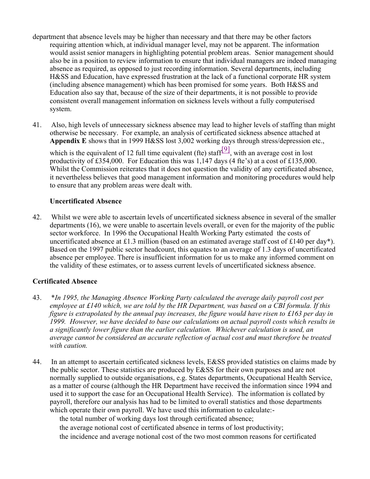- department that absence levels may be higher than necessary and that there may be other factors requiring attention which, at individual manager level, may not be apparent. The information would assist senior managers in highlighting potential problem areas. Senior management should also be in a position to review information to ensure that individual managers are indeed managing absence as required, as opposed to just recording information. Several departments, including H&SS and Education, have expressed frustration at the lack of a functional corporate HR system (including absence management) which has been promised for some years. Both H&SS and Education also say that, because of the size of their departments, it is not possible to provide consistent overall management information on sickness levels without a fully computerised system.
- 41. Also, high levels of unnecessary sickness absence may lead to higher levels of staffing than might otherwise be necessary. For example, an analysis of certificated sickness absence attached at **Appendix E** shows that in 1999 H&SS lost 3,002 working days through stress/depression etc.,

which is the equivalent of 12 full time equivalent (fte) staff<sup>[9]</sup>, with an average cost in lost productivity of £354,000. For Education this was 1,147 days (4 fte's) at a cost of £135,000. Whilst the Commission reiterates that it does not question the validity of any certificated absence, it nevertheless believes that good management information and monitoring procedures would help to ensure that any problem areas were dealt with.

#### **Uncertificated Absence**

42. Whilst we were able to ascertain levels of uncertificated sickness absence in several of the smaller departments (16), we were unable to ascertain levels overall, or even for the majority of the public sector workforce. In 1996 the Occupational Health Working Party estimated the costs of uncertificated absence at £1.3 million (based on an estimated average staff cost of £140 per day\*). Based on the 1997 public sector headcount, this equates to an average of 1.3 days of uncertificated absence per employee. There is insufficient information for us to make any informed comment on the validity of these estimates, or to assess current levels of uncertificated sickness absence.

## **Certificated Absence**

- 43. \**In 1995, the Managing Absence Working Party calculated the average daily payroll cost per employee at £140 which, we are told by the HR Department, was based on a CBI formula. If this figure is extrapolated by the annual pay increases, the figure would have risen to £163 per day in 1999. However, we have decided to base our calculations on actual payroll costs which results in a significantly lower figure than the earlier calculation. Whichever calculation is used, an average cannot be considered an accurate reflection of actual cost and must therefore be treated with caution.*
- 44. In an attempt to ascertain certificated sickness levels, E&SS provided statistics on claims made by the public sector. These statistics are produced by E&SS for their own purposes and are not normally supplied to outside organisations, e.g. States departments, Occupational Health Service, as a matter of course (although the HR Department have received the information since 1994 and used it to support the case for an Occupational Health Service). The information is collated by payroll, therefore our analysis has had to be limited to overall statistics and those departments which operate their own payroll. We have used this information to calculate:-

the total number of working days lost through certificated absence;

 the average notional cost of certificated absence in terms of lost productivity; the incidence and average notional cost of the two most common reasons for certificated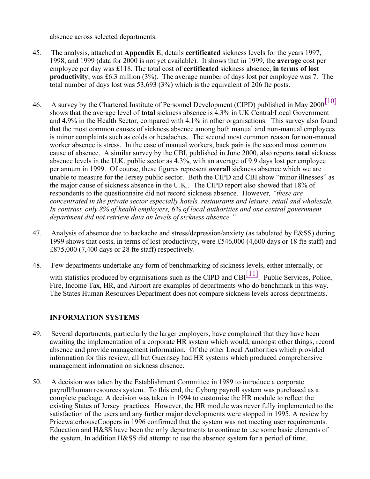absence across selected departments.

- 45. The analysis, attached at **Appendix E**, details **certificated** sickness levels for the years 1997, 1998, and 1999 (data for 2000 is not yet available). It shows that in 1999, the **average** cost per employee per day was £118. The total cost of **certificated** sickness absence, **in terms of lost productivity**, was £6.3 million (3%). The average number of days lost per employee was 7. The total number of days lost was 53,693 (3%) which is the equivalent of 206 fte posts.
- 46. A survey by the Chartered Institute of Personnel Development (CIPD) published in May 2000[10] shows that the average level of **total** sickness absence is 4.3% in UK Central/Local Government and 4.9% in the Health Sector, compared with 4.1% in other organisations. This survey also found that the most common causes of sickness absence among both manual and non-manual employees is minor complaints such as colds or headaches. The second most common reason for non-manual worker absence is stress. In the case of manual workers, back pain is the second most common cause of absence. A similar survey by the CBI, published in June 2000, also reports **total** sickness absence levels in the U.K. public sector as 4.3%, with an average of 9.9 days lost per employee per annum in 1999. Of course, these figures represent **overall** sickness absence which we are unable to measure for the Jersey public sector. Both the CIPD and CBI show "minor illnesses" as the major cause of sickness absence in the U.K.. The CIPD report also showed that 18% of respondents to the questionnaire did not record sickness absence*.* However*, "these are concentrated in the private sector especially hotels, restaurants and leisure, retail and wholesale. In contrast, only 8% of health employers, 6% of local authorities and one central government department did not retrieve data on levels of sickness absence."*
- 47. Analysis of absence due to backache and stress/depression/anxiety (as tabulated by E&SS) during 1999 shows that costs, in terms of lost productivity, were £546,000 (4,600 days or 18 fte staff) and £875,000 (7,400 days or 28 fte staff) respectively.
- 48. Few departments undertake any form of benchmarking of sickness levels, either internally, or with statistics produced by organisations such as the CIPD and CBI $\left[11\right]$ . Public Services, Police, Fire, Income Tax, HR, and Airport are examples of departments who do benchmark in this way. The States Human Resources Department does not compare sickness levels across departments.

# **INFORMATION SYSTEMS**

- 49. Several departments, particularly the larger employers, have complained that they have been awaiting the implementation of a corporate HR system which would, amongst other things, record absence and provide management information. Of the other Local Authorities which provided information for this review, all but Guernsey had HR systems which produced comprehensive management information on sickness absence.
- 50. A decision was taken by the Establishment Committee in 1989 to introduce a corporate payroll/human resources system. To this end, the Cyborg payroll system was purchased as a complete package. A decision was taken in 1994 to customise the HR module to reflect the existing States of Jersey practices. However, the HR module was never fully implemented to the satisfaction of the users and any further major developments were stopped in 1995. A review by PricewaterhouseCoopers in 1996 confirmed that the system was not meeting user requirements. Education and H&SS have been the only departments to continue to use some basic elements of the system. In addition H&SS did attempt to use the absence system for a period of time.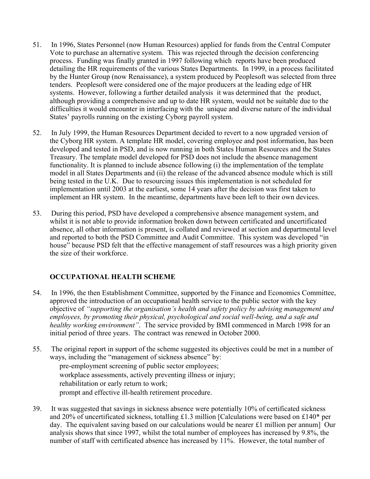- 51. In 1996, States Personnel (now Human Resources) applied for funds from the Central Computer Vote to purchase an alternative system. This was rejected through the decision conferencing process. Funding was finally granted in 1997 following which reports have been produced detailing the HR requirements of the various States Departments. In 1999, in a process facilitated by the Hunter Group (now Renaissance), a system produced by Peoplesoft was selected from three tenders. Peoplesoft were considered one of the major producers at the leading edge of HR systems. However, following a further detailed analysis it was determined that the product, although providing a comprehensive and up to date HR system, would not be suitable due to the difficulties it would encounter in interfacing with the unique and diverse nature of the individual States' payrolls running on the existing Cyborg payroll system.
- 52. In July 1999, the Human Resources Department decided to revert to a now upgraded version of the Cyborg HR system. A template HR model, covering employee and post information, has been developed and tested in PSD, and is now running in both States Human Resources and the States Treasury. The template model developed for PSD does not include the absence management functionality. It is planned to include absence following (i) the implementation of the template model in all States Departments and (ii) the release of the advanced absence module which is still being tested in the U.K. Due to resourcing issues this implementation is not scheduled for implementation until 2003 at the earliest, some 14 years after the decision was first taken to implement an HR system. In the meantime, departments have been left to their own devices.
- 53. During this period, PSD have developed a comprehensive absence management system, and whilst it is not able to provide information broken down between certificated and uncertificated absence, all other information is present, is collated and reviewed at section and departmental level and reported to both the PSD Committee and Audit Committee. This system was developed "in house" because PSD felt that the effective management of staff resources was a high priority given the size of their workforce.

# **OCCUPATIONAL HEALTH SCHEME**

- 54. In 1996, the then Establishment Committee, supported by the Finance and Economics Committee, approved the introduction of an occupational health service to the public sector with the key objective of *"supporting the organisation's health and safety policy by advising management and employees, by promoting their physical, psychological and social well-being, and a safe and healthy working environment"*. The service provided by BMI commenced in March 1998 for an initial period of three years. The contract was renewed in October 2000.
- 55. The original report in support of the scheme suggested its objectives could be met in a number of ways, including the "management of sickness absence" by: pre-employment screening of public sector employees; workplace assessments, actively preventing illness or injury; rehabilitation or early return to work; prompt and effective ill-health retirement procedure.
- 39. It was suggested that savings in sickness absence were potentially 10% of certificated sickness and 20% of uncertificated sickness, totalling £1.3 million [Calculations were based on £140\* per day. The equivalent saving based on our calculations would be nearer £1 million per annum] Our analysis shows that since 1997, whilst the total number of employees has increased by 9.8%, the number of staff with certificated absence has increased by 11%. However, the total number of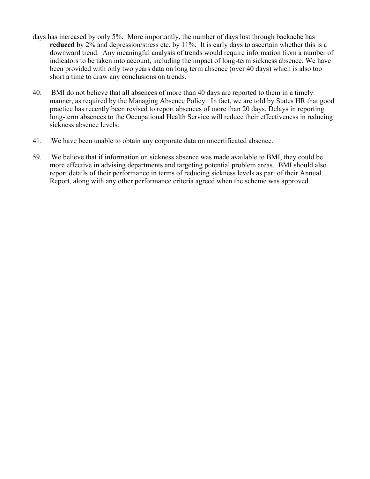- days has increased by only 5%. More importantly, the number of days lost through backache has **reduced** by 2% and depression/stress etc. by 11%. It is early days to ascertain whether this is a downward trend. Any meaningful analysis of trends would require information from a number of indicators to be taken into account, including the impact of long-term sickness absence. We have been provided with only two years data on long term absence (over 40 days) which is also too short a time to draw any conclusions on trends.
- 40. BMI do not believe that all absences of more than 40 days are reported to them in a timely manner, as required by the Managing Absence Policy. In fact, we are told by States HR that good practice has recently been revised to report absences of more than 20 days. Delays in reporting long-term absences to the Occupational Health Service will reduce their effectiveness in reducing sickness absence levels.
- 41. We have been unable to obtain any corporate data on uncertificated absence.
- 59. We believe that if information on sickness absence was made available to BMI, they could be more effective in advising departments and targeting potential problem areas. BMI should also report details of their performance in terms of reducing sickness levels as part of their Annual Report, along with any other performance criteria agreed when the scheme was approved.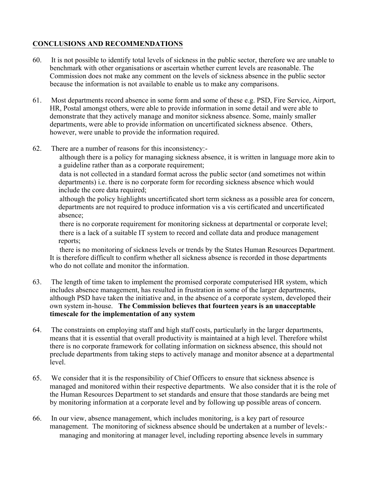# **CONCLUSIONS AND RECOMMENDATIONS**

- 60. It is not possible to identify total levels of sickness in the public sector, therefore we are unable to benchmark with other organisations or ascertain whether current levels are reasonable. The Commission does not make any comment on the levels of sickness absence in the public sector because the information is not available to enable us to make any comparisons.
- 61. Most departments record absence in some form and some of these e.g. PSD, Fire Service, Airport, HR, Postal amongst others, were able to provide information in some detail and were able to demonstrate that they actively manage and monitor sickness absence. Some, mainly smaller departments, were able to provide information on uncertificated sickness absence. Others, however, were unable to provide the information required.
- 62. There are a number of reasons for this inconsistency:-

 although there is a policy for managing sickness absence, it is written in language more akin to a guideline rather than as a corporate requirement;

 data is not collected in a standard format across the public sector (and sometimes not within departments) i.e. there is no corporate form for recording sickness absence which would include the core data required;

 although the policy highlights uncertificated short term sickness as a possible area for concern, departments are not required to produce information vis a vis certificated and uncertificated absence;

 there is no corporate requirement for monitoring sickness at departmental or corporate level; there is a lack of a suitable IT system to record and collate data and produce management reports;

 there is no monitoring of sickness levels or trends by the States Human Resources Department. It is therefore difficult to confirm whether all sickness absence is recorded in those departments who do not collate and monitor the information.

- 63. The length of time taken to implement the promised corporate computerised HR system, which includes absence management, has resulted in frustration in some of the larger departments, although PSD have taken the initiative and, in the absence of a corporate system, developed their own system in-house. **The Commission believes that fourteen years is an unacceptable timescale for the implementation of any system**
- 64. The constraints on employing staff and high staff costs, particularly in the larger departments, means that it is essential that overall productivity is maintained at a high level. Therefore whilst there is no corporate framework for collating information on sickness absence, this should not preclude departments from taking steps to actively manage and monitor absence at a departmental level.
- 65. We consider that it is the responsibility of Chief Officers to ensure that sickness absence is managed and monitored within their respective departments. We also consider that it is the role of the Human Resources Department to set standards and ensure that those standards are being met by monitoring information at a corporate level and by following up possible areas of concern.
- 66. In our view, absence management, which includes monitoring, is a key part of resource management. The monitoring of sickness absence should be undertaken at a number of levels:- managing and monitoring at manager level, including reporting absence levels in summary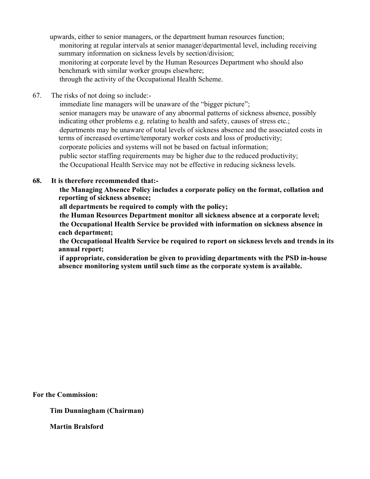upwards, either to senior managers, or the department human resources function; monitoring at regular intervals at senior manager/departmental level, including receiving summary information on sickness levels by section/division; monitoring at corporate level by the Human Resources Department who should also benchmark with similar worker groups elsewhere; through the activity of the Occupational Health Scheme.

67. The risks of not doing so include:-

immediate line managers will be unaware of the "bigger picture"; senior managers may be unaware of any abnormal patterns of sickness absence, possibly indicating other problems e.g. relating to health and safety, causes of stress etc.; departments may be unaware of total levels of sickness absence and the associated costs in terms of increased overtime/temporary worker costs and loss of productivity; corporate policies and systems will not be based on factual information; public sector staffing requirements may be higher due to the reduced productivity; the Occupational Health Service may not be effective in reducing sickness levels.

#### **68. It is therefore recommended that:-**

 **the Managing Absence Policy includes a corporate policy on the format, collation and reporting of sickness absence;**

**all departments be required to comply with the policy;**

 **the Human Resources Department monitor all sickness absence at a corporate level; the Occupational Health Service be provided with information on sickness absence in each department;**

 **the Occupational Health Service be required to report on sickness levels and trends in its annual report;**

 **if appropriate, consideration be given to providing departments with the PSD in-house absence monitoring system until such time as the corporate system is available.**

**For the Commission:**

**Tim Dunningham (Chairman)**

**Martin Bralsford**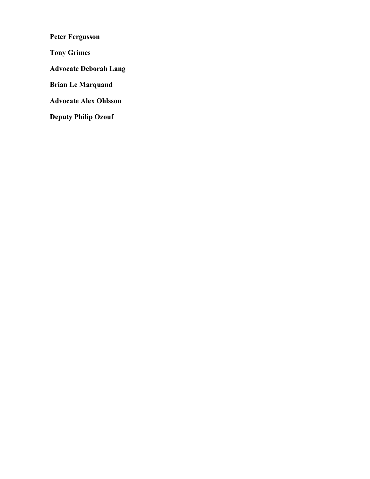**Peter Fergusson**

**Tony Grimes**

**Advocate Deborah Lang**

**Brian Le Marquand**

**Advocate Alex Ohlsson**

**Deputy Philip Ozouf**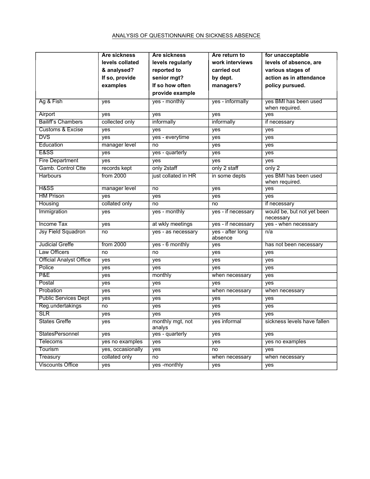#### ANALYSIS OF QUESTIONNAIRE ON SICKNESS ABSENCE

|                                | Are sickness      | <b>Are sickness</b>        | Are return to               | for unacceptable                        |
|--------------------------------|-------------------|----------------------------|-----------------------------|-----------------------------------------|
|                                | levels collated   | levels regularly           | work interviews             | levels of absence, are                  |
|                                | & analysed?       | reported to                | carried out                 | various stages of                       |
|                                | If so, provide    | senior mgt?                | by dept.                    | action as in attendance                 |
|                                | examples          | If so how often            | managers?                   | policy pursued.                         |
|                                |                   | provide example            |                             |                                         |
| Ag & Fish                      | yes               | yes - monthly              | yes - informally            | yes BMI has been used<br>when required. |
| Airport                        | yes               | yes                        | yes                         | yes                                     |
| <b>Bailiff's Chambers</b>      | collected only    | informally                 | informally                  | if necessary                            |
| <b>Customs &amp; Excise</b>    | yes               | yes                        | yes                         | yes                                     |
| <b>DVS</b>                     | yes               | yes - everytime            | yes                         | yes                                     |
| Education                      | manager level     | no                         | yes                         | yes                                     |
| <b>E&amp;SS</b>                | yes               | yes - quarterly            | yes                         | yes                                     |
| <b>Fire Department</b>         | yes               | yes                        | yes                         | yes                                     |
| Gamb. Control Ctte             | records kept      | only 2staff                | only 2 staff                | only 2                                  |
| <b>Harbours</b>                | from 2000         | just collated in HR        | in some depts               | yes BMI has been used<br>when required. |
| H&SS                           | manager level     | no                         | yes                         | yes                                     |
| <b>HM Prison</b>               | yes               | yes                        | yes                         | yes                                     |
| Housing                        | collated only     | no                         | no                          | if necessary                            |
| Immigration                    | yes               | yes - monthly              | yes - if necessary          | would be, but not yet been<br>necessary |
| <b>Income Tax</b>              | yes               | at wkly meetings           | yes - if necessary          | yes - when necessary                    |
| <b>Jsy Field Squadron</b>      | no                | yes - as necessary         | yes - after long<br>absence | n/a                                     |
| <b>Judicial Greffe</b>         | from 2000         | yes - 6 monthly            | yes                         | has not been necessary                  |
| <b>Law Officers</b>            | no                | no                         | yes                         | yes                                     |
| <b>Official Analyst Office</b> | yes               | yes                        | yes                         | yes                                     |
| Police                         | yes               | yes                        | yes                         | yes                                     |
| P&E                            | yes               | monthly                    | when necessary              | yes                                     |
| Postal                         | yes               | yes                        | yes                         | yes                                     |
| Probation                      | yes               | yes                        | when necessary              | when necessary                          |
| <b>Public Services Dept</b>    | yes               | yes                        | yes                         | yes                                     |
| Reg.undertakings               | no                | yes                        | yes                         | yes                                     |
| <b>SLR</b>                     | yes               | yes                        | yes                         | yes                                     |
| <b>States Greffe</b>           | $\overline{yes}$  | monthly mgt, not<br>analys | yes informal                | sickness levels have fallen             |
| StatesPersonnel                | yes               | yes - quarterly            | yes                         | yes                                     |
| Telecoms                       | yes no examples   | yes                        | yes                         | yes no examples                         |
| Tourism                        | yes, occasionally | yes                        | no                          | yes                                     |
| Treasury                       | collated only     | no                         | when necessary              | when necessary                          |
| <b>Viscounts Office</b>        | yes               | yes -monthly               | yes                         | yes                                     |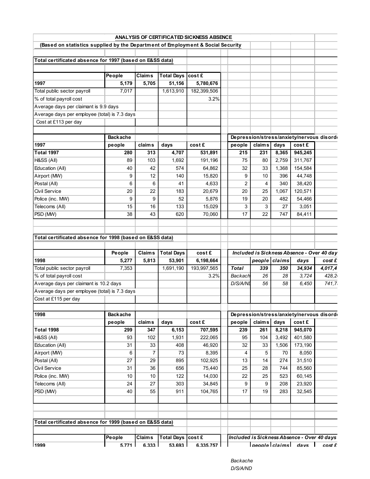|                                                                                 |                 |                        |                             | ANALYSIS OF CERTIFICATED SICKNESS ABSENCE |              |        |               |                                                                                                                                                                                                                                                                                                                                                                   |         |
|---------------------------------------------------------------------------------|-----------------|------------------------|-----------------------------|-------------------------------------------|--------------|--------|---------------|-------------------------------------------------------------------------------------------------------------------------------------------------------------------------------------------------------------------------------------------------------------------------------------------------------------------------------------------------------------------|---------|
| (Based on statistics supplied by the Department of Employment & Social Security |                 |                        |                             |                                           |              |        |               |                                                                                                                                                                                                                                                                                                                                                                   |         |
|                                                                                 |                 |                        |                             |                                           |              |        |               |                                                                                                                                                                                                                                                                                                                                                                   |         |
| Total certificated absence for 1997 (based on E&SS data)                        |                 |                        |                             |                                           |              |        |               |                                                                                                                                                                                                                                                                                                                                                                   |         |
|                                                                                 |                 |                        |                             |                                           |              |        |               |                                                                                                                                                                                                                                                                                                                                                                   |         |
|                                                                                 | People          | <b>Claims</b>          | Total Days cost £           |                                           |              |        |               |                                                                                                                                                                                                                                                                                                                                                                   |         |
| 1997                                                                            | 5,179           | 5,705                  | 51,156                      | 5,780,676                                 |              |        |               |                                                                                                                                                                                                                                                                                                                                                                   |         |
| Total public sector payroll                                                     | 7,017           |                        | 1,613,910                   | 182,399,506                               |              |        |               |                                                                                                                                                                                                                                                                                                                                                                   |         |
| % of total payroll cost                                                         |                 |                        |                             | 3.2%                                      |              |        |               |                                                                                                                                                                                                                                                                                                                                                                   |         |
| Average days per claimant is 9.9 days                                           |                 |                        |                             |                                           |              |        |               |                                                                                                                                                                                                                                                                                                                                                                   |         |
| Average days per employee (total) is 7.3 days                                   |                 |                        |                             |                                           |              |        |               |                                                                                                                                                                                                                                                                                                                                                                   |         |
| Cost at £113 per day                                                            |                 |                        |                             |                                           |              |        |               |                                                                                                                                                                                                                                                                                                                                                                   |         |
|                                                                                 |                 |                        |                             |                                           |              |        |               |                                                                                                                                                                                                                                                                                                                                                                   |         |
|                                                                                 | <b>Backache</b> |                        |                             |                                           |              |        |               | Depression/stress/anxiety/nervous disord                                                                                                                                                                                                                                                                                                                          |         |
| 1997                                                                            | people          | <b>claims</b>          | days                        | cost £                                    | people       | claims | days          | cost £                                                                                                                                                                                                                                                                                                                                                            |         |
| <b>Total 1997</b>                                                               | 280             | 313                    | 4,707                       | 531,891                                   | 215          | 231    | 8,365         | 945,245                                                                                                                                                                                                                                                                                                                                                           |         |
| H&SS (All)                                                                      | 89              | 103                    | 1,692                       | 191,196                                   | 75           | 80     | 2,759         | 311,767                                                                                                                                                                                                                                                                                                                                                           |         |
| Education (All)                                                                 | 40              | 42                     | 574                         | 64,862                                    | 32           | 33     | 1,368         | 154,584                                                                                                                                                                                                                                                                                                                                                           |         |
| Airport (MW)                                                                    | 9               | 12                     | 140                         | 15,820                                    | 9            | 10     | 396           | 44,748                                                                                                                                                                                                                                                                                                                                                            |         |
| Postal (All)                                                                    | 6               | 6                      | 41                          | 4,633                                     | 2            | 4      | 340           | 38,420                                                                                                                                                                                                                                                                                                                                                            |         |
| Civil Service                                                                   | 20              | 22                     | 183                         | 20,679                                    | 20           | 25     | 1,067         | 120,571                                                                                                                                                                                                                                                                                                                                                           |         |
| Police (inc. MW)                                                                | 9               | 9                      | 52                          | 5,876                                     | 19           | 20     | 482           | 54,466                                                                                                                                                                                                                                                                                                                                                            |         |
| Telecoms (All)                                                                  | 15              | 16                     | 133                         | 15,029                                    | 3            | 3      | 27            | 3,051                                                                                                                                                                                                                                                                                                                                                             |         |
| PSD (MW)                                                                        | 38              | 43                     | 620                         | 70,060                                    | 17           | 22     | 747           | 84,411                                                                                                                                                                                                                                                                                                                                                            |         |
|                                                                                 |                 |                        |                             |                                           |              |        |               |                                                                                                                                                                                                                                                                                                                                                                   |         |
|                                                                                 |                 |                        |                             |                                           |              |        |               |                                                                                                                                                                                                                                                                                                                                                                   |         |
| Total certificated absence for 1998 (based on E&SS data)                        |                 |                        |                             |                                           |              |        |               |                                                                                                                                                                                                                                                                                                                                                                   |         |
|                                                                                 |                 |                        |                             |                                           |              |        |               |                                                                                                                                                                                                                                                                                                                                                                   |         |
|                                                                                 |                 |                        |                             |                                           |              |        |               |                                                                                                                                                                                                                                                                                                                                                                   |         |
|                                                                                 |                 |                        |                             |                                           |              |        |               |                                                                                                                                                                                                                                                                                                                                                                   |         |
|                                                                                 | People          | <b>Claims</b>          | <b>Total Days</b>           | cost £                                    |              |        |               | Included is Sickness Absence - Over 40 day                                                                                                                                                                                                                                                                                                                        |         |
| 1998                                                                            | 5,277           | 5,813                  | 53,901                      | 6,198,664                                 |              |        | people claims | days                                                                                                                                                                                                                                                                                                                                                              | cost £  |
| Total public sector payroll                                                     | 7,353           |                        | 1,691,190                   | 193,997,565                               | <b>Total</b> | 339    | 350           | 34,934                                                                                                                                                                                                                                                                                                                                                            | 4,017,4 |
| % of total payroll cost                                                         |                 |                        |                             | 3.2%                                      | Backach      | 26     | 28            | 3,724                                                                                                                                                                                                                                                                                                                                                             | 428.2   |
| Average days per claimant is 10.2 days                                          |                 |                        |                             |                                           | D/S/A/NI     | 56     | 58            | 6,450                                                                                                                                                                                                                                                                                                                                                             | 741, 7. |
| Average days per employee (total) is 7.3 days                                   |                 |                        |                             |                                           |              |        |               |                                                                                                                                                                                                                                                                                                                                                                   |         |
| Cost at £115 per day                                                            |                 |                        |                             |                                           |              |        |               |                                                                                                                                                                                                                                                                                                                                                                   |         |
|                                                                                 |                 |                        |                             |                                           |              |        |               |                                                                                                                                                                                                                                                                                                                                                                   |         |
| 1998                                                                            | <b>Backache</b> |                        |                             |                                           |              |        |               | Depression/stress/anxiety/nervous disorde                                                                                                                                                                                                                                                                                                                         |         |
|                                                                                 | people          | <b>claims</b>          | days                        | cost £                                    | people       | claims | days          | cost £                                                                                                                                                                                                                                                                                                                                                            |         |
| <b>Total 1998</b>                                                               | 299             | 347                    | 6,153                       | 707,595                                   | 239          | 261    | 8,218         | 945,070                                                                                                                                                                                                                                                                                                                                                           |         |
| H&SS (All)                                                                      | 93              | 102                    | 1,931                       | 222,065                                   | 95           | 104    | 3,492         | 401,580                                                                                                                                                                                                                                                                                                                                                           |         |
| Education (All)                                                                 | 31              | 33                     | 408                         | 46,920                                    | 32           | 33     | 1,506         | 173,190                                                                                                                                                                                                                                                                                                                                                           |         |
| Airport (MW)                                                                    | 6               | $\overline{7}$         | 73                          | 8,395                                     | 4            | 5      | 70            | 8,050                                                                                                                                                                                                                                                                                                                                                             |         |
| Postal (All)                                                                    | 27              | 29                     | 895                         | 102,925                                   | 13           | 14     | 274           | 31,510                                                                                                                                                                                                                                                                                                                                                            |         |
| <b>Civil Service</b>                                                            | 31              | 36                     | 656                         | 75,440                                    | 25           | 28     | 744           | 85,560                                                                                                                                                                                                                                                                                                                                                            |         |
| Police (inc. MW)                                                                | 10              | 10                     | 122                         | 14,030                                    | 22           | 25     | 523           | 60,145                                                                                                                                                                                                                                                                                                                                                            |         |
| Telecoms (All)                                                                  | 24              | 27                     | 303                         | 34,845                                    | 9            | 9      | 208           | 23,920                                                                                                                                                                                                                                                                                                                                                            |         |
| PSD (MW)                                                                        | 40              | 55                     | 911                         | 104,765                                   | 17           | 19     | 283           | 32,545                                                                                                                                                                                                                                                                                                                                                            |         |
|                                                                                 |                 |                        |                             |                                           |              |        |               |                                                                                                                                                                                                                                                                                                                                                                   |         |
|                                                                                 |                 |                        |                             |                                           |              |        |               |                                                                                                                                                                                                                                                                                                                                                                   |         |
|                                                                                 |                 |                        |                             |                                           |              |        |               |                                                                                                                                                                                                                                                                                                                                                                   |         |
| Total certificated absence for 1999 (based on E&SS data)                        |                 |                        |                             |                                           |              |        |               |                                                                                                                                                                                                                                                                                                                                                                   |         |
|                                                                                 |                 |                        |                             |                                           |              |        |               |                                                                                                                                                                                                                                                                                                                                                                   |         |
| 1999                                                                            | People<br>5.771 | <b>Claims</b><br>6.333 | Total Days cost £<br>53.693 | 6.335.757                                 |              |        |               | Included is Sickness Absence - Over 40 days<br>$\sqrt{2}$ $\sqrt{2}$ $\sqrt{2}$ $\sqrt{2}$ $\sqrt{2}$ $\sqrt{2}$ $\sqrt{2}$ $\sqrt{2}$ $\sqrt{2}$ $\sqrt{2}$ $\sqrt{2}$ $\sqrt{2}$ $\sqrt{2}$ $\sqrt{2}$ $\sqrt{2}$ $\sqrt{2}$ $\sqrt{2}$ $\sqrt{2}$ $\sqrt{2}$ $\sqrt{2}$ $\sqrt{2}$ $\sqrt{2}$ $\sqrt{2}$ $\sqrt{2}$ $\sqrt{2}$ $\sqrt{2}$ $\sqrt{2}$ $\sqrt{2$ | costf   |